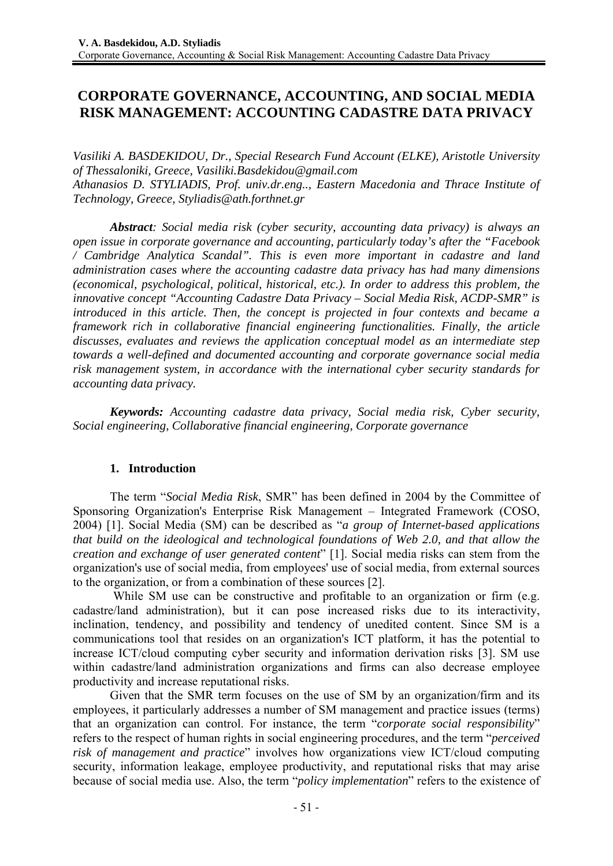# **CORPORATE GOVERNANCE, ACCOUNTING, AND SOCIAL MEDIA RISK MANAGEMENT: ACCOUNTING CADASTRE DATA PRIVACY**

*Vasiliki A. BASDEKIDOU, Dr., Special Research Fund Account (ELKE), Aristotle University of Thessaloniki, Greece, Vasiliki.Basdekidou@gmail.com Athanasios D. STYLIADIS, Prof. univ.dr.eng.., Eastern Macedonia and Thrace Institute of Technology, Greece, Styliadis@ath.forthnet.gr* 

*Abstract: Social media risk (cyber security, accounting data privacy) is always an open issue in corporate governance and accounting, particularly today's after the "Facebook / Cambridge Analytica Scandal". This is even more important in cadastre and land administration cases where the accounting cadastre data privacy has had many dimensions (economical, psychological, political, historical, etc.). In order to address this problem, the innovative concept "Accounting Cadastre Data Privacy – Social Media Risk, ACDP-SMR" is introduced in this article. Then, the concept is projected in four contexts and became a framework rich in collaborative financial engineering functionalities. Finally, the article discusses, evaluates and reviews the application conceptual model as an intermediate step towards a well-defined and documented accounting and corporate governance social media risk management system, in accordance with the international cyber security standards for accounting data privacy.* 

*Keywords: Accounting cadastre data privacy, Social media risk, Cyber security, Social engineering, Collaborative financial engineering, Corporate governance* 

# **1. Introduction**

The term "*Social Media Risk*, SMR" has been defined in 2004 by the Committee of Sponsoring Organization's Enterprise Risk Management – Integrated Framework (COSO, 2004) [1]. Social Media (SM) can be described as "*a group of Internet-based applications that build on the ideological and technological foundations of Web 2.0, and that allow the creation and exchange of user generated content*" [1]. Social media risks can stem from the organization's use of social media, from employees' use of social media, from external sources to the organization, or from a combination of these sources [2].

 While SM use can be constructive and profitable to an organization or firm (e.g. cadastre/land administration), but it can pose increased risks due to its interactivity, inclination, tendency, and possibility and tendency of unedited content. Since SM is a communications tool that resides on an organization's ICT platform, it has the potential to increase ICT/cloud computing cyber security and information derivation risks [3]. SM use within cadastre/land administration organizations and firms can also decrease employee productivity and increase reputational risks.

Given that the SMR term focuses on the use of SM by an organization/firm and its employees, it particularly addresses a number of SM management and practice issues (terms) that an organization can control. For instance, the term "*corporate social responsibility*" refers to the respect of human rights in social engineering procedures, and the term "*perceived risk of management and practice*" involves how organizations view ICT/cloud computing security, information leakage, employee productivity, and reputational risks that may arise because of social media use. Also, the term "*policy implementation*" refers to the existence of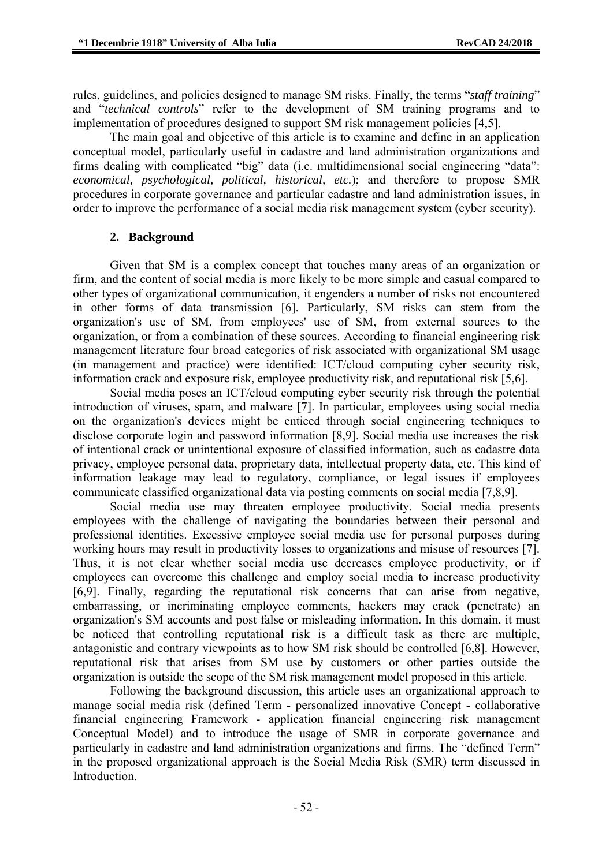rules, guidelines, and policies designed to manage SM risks. Finally, the terms "*staff training*" and "*technical controls*" refer to the development of SM training programs and to implementation of procedures designed to support SM risk management policies [4,5].

The main goal and objective of this article is to examine and define in an application conceptual model, particularly useful in cadastre and land administration organizations and firms dealing with complicated "big" data (i.e. multidimensional social engineering "data": *economical, psychological, political, historical, etc.*); and therefore to propose SMR procedures in corporate governance and particular cadastre and land administration issues, in order to improve the performance of a social media risk management system (cyber security).

### **2. Background**

Given that SM is a complex concept that touches many areas of an organization or firm, and the content of social media is more likely to be more simple and casual compared to other types of organizational communication, it engenders a number of risks not encountered in other forms of data transmission [6]. Particularly, SM risks can stem from the organization's use of SM, from employees' use of SM, from external sources to the organization, or from a combination of these sources. According to financial engineering risk management literature four broad categories of risk associated with organizational SM usage (in management and practice) were identified: ICT/cloud computing cyber security risk, information crack and exposure risk, employee productivity risk, and reputational risk [5,6].

Social media poses an ICT/cloud computing cyber security risk through the potential introduction of viruses, spam, and malware [7]. In particular, employees using social media on the organization's devices might be enticed through social engineering techniques to disclose corporate login and password information [8,9]. Social media use increases the risk of intentional crack or unintentional exposure of classified information, such as cadastre data privacy, employee personal data, proprietary data, intellectual property data, etc. This kind of information leakage may lead to regulatory, compliance, or legal issues if employees communicate classified organizational data via posting comments on social media [7,8,9].

Social media use may threaten employee productivity. Social media presents employees with the challenge of navigating the boundaries between their personal and professional identities. Excessive employee social media use for personal purposes during working hours may result in productivity losses to organizations and misuse of resources [7]. Thus, it is not clear whether social media use decreases employee productivity, or if employees can overcome this challenge and employ social media to increase productivity [6,9]. Finally, regarding the reputational risk concerns that can arise from negative, embarrassing, or incriminating employee comments, hackers may crack (penetrate) an organization's SM accounts and post false or misleading information. In this domain, it must be noticed that controlling reputational risk is a difficult task as there are multiple, antagonistic and contrary viewpoints as to how SM risk should be controlled [6,8]. However, reputational risk that arises from SM use by customers or other parties outside the organization is outside the scope of the SM risk management model proposed in this article.

Following the background discussion, this article uses an organizational approach to manage social media risk (defined Term - personalized innovative Concept - collaborative financial engineering Framework - application financial engineering risk management Conceptual Model) and to introduce the usage of SMR in corporate governance and particularly in cadastre and land administration organizations and firms. The "defined Term" in the proposed organizational approach is the Social Media Risk (SMR) term discussed in Introduction.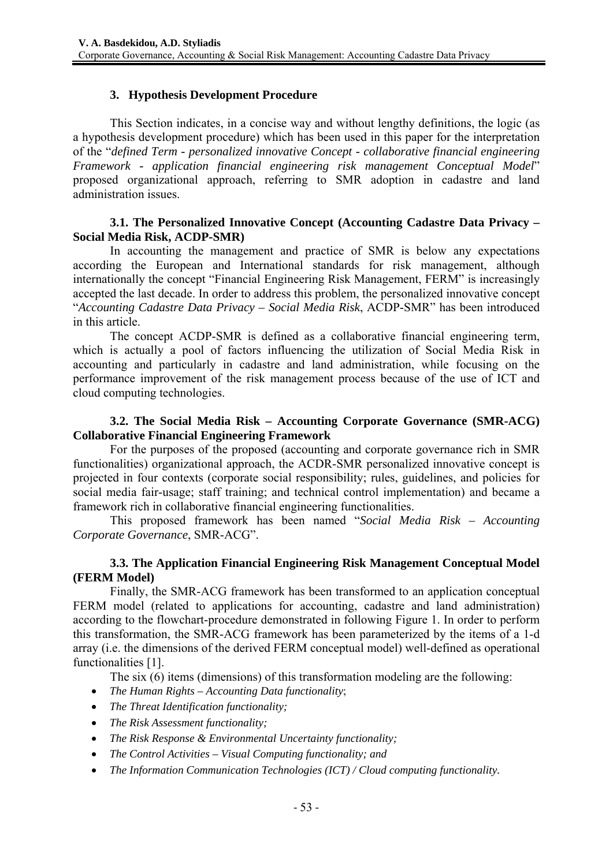## **3. Hypothesis Development Procedure**

This Section indicates, in a concise way and without lengthy definitions, the logic (as a hypothesis development procedure) which has been used in this paper for the interpretation of the "*defined Term - personalized innovative Concept - collaborative financial engineering Framework - application financial engineering risk management Conceptual Model*" proposed organizational approach, referring to SMR adoption in cadastre and land administration issues.

### **3.1. The Personalized Innovative Concept (Accounting Cadastre Data Privacy – Social Media Risk, ACDP-SMR)**

In accounting the management and practice of SMR is below any expectations according the European and International standards for risk management, although internationally the concept "Financial Engineering Risk Management, FERM" is increasingly accepted the last decade. In order to address this problem, the personalized innovative concept "*Accounting Cadastre Data Privacy – Social Media Risk*, ACDP-SMR" has been introduced in this article.

The concept ACDP-SMR is defined as a collaborative financial engineering term, which is actually a pool of factors influencing the utilization of Social Media Risk in accounting and particularly in cadastre and land administration, while focusing on the performance improvement of the risk management process because of the use of ICT and cloud computing technologies.

### **3.2. The Social Media Risk – Accounting Corporate Governance (SMR-ACG) Collaborative Financial Engineering Framework**

For the purposes of the proposed (accounting and corporate governance rich in SMR functionalities) organizational approach, the ACDR-SMR personalized innovative concept is projected in four contexts (corporate social responsibility; rules, guidelines, and policies for social media fair-usage; staff training; and technical control implementation) and became a framework rich in collaborative financial engineering functionalities.

This proposed framework has been named "*Social Media Risk – Accounting Corporate Governance*, SMR-ACG".

### **3.3. The Application Financial Engineering Risk Management Conceptual Model (FERM Model)**

Finally, the SMR-ACG framework has been transformed to an application conceptual FERM model (related to applications for accounting, cadastre and land administration) according to the flowchart-procedure demonstrated in following Figure 1. In order to perform this transformation, the SMR-ACG framework has been parameterized by the items of a 1-d array (i.e. the dimensions of the derived FERM conceptual model) well-defined as operational functionalities [1].

The six (6) items (dimensions) of this transformation modeling are the following:

- *The Human Rights Accounting Data functionality*;
- *The Threat Identification functionality;*
- *The Risk Assessment functionality;*
- *The Risk Response & Environmental Uncertainty functionality;*
- *The Control Activities Visual Computing functionality; and*
- *The Information Communication Technologies (ICT) / Cloud computing functionality.*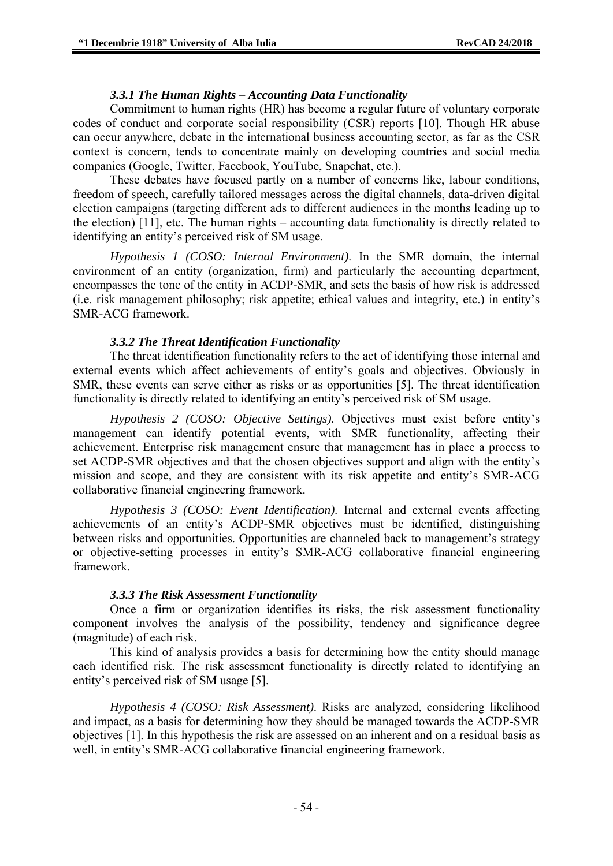#### *3.3.1 The Human Rights – Accounting Data Functionality*

Commitment to human rights (HR) has become a regular future of voluntary corporate codes of conduct and corporate social responsibility (CSR) reports [10]. Though HR abuse can occur anywhere, debate in the international business accounting sector, as far as the CSR context is concern, tends to concentrate mainly on developing countries and social media companies (Google, Twitter, Facebook, YouTube, Snapchat, etc.).

These debates have focused partly on a number of concerns like, labour conditions, freedom of speech, carefully tailored messages across the digital channels, data-driven digital election campaigns (targeting different ads to different audiences in the months leading up to the election) [11], etc. The human rights – accounting data functionality is directly related to identifying an entity's perceived risk of SM usage.

*Hypothesis 1 (COSO: Internal Environment)*. In the SMR domain, the internal environment of an entity (organization, firm) and particularly the accounting department, encompasses the tone of the entity in ACDP-SMR, and sets the basis of how risk is addressed (i.e. risk management philosophy; risk appetite; ethical values and integrity, etc.) in entity's SMR-ACG framework.

#### *3.3.2 The Threat Identification Functionality*

The threat identification functionality refers to the act of identifying those internal and external events which affect achievements of entity's goals and objectives. Obviously in SMR, these events can serve either as risks or as opportunities [5]. The threat identification functionality is directly related to identifying an entity's perceived risk of SM usage.

*Hypothesis 2 (COSO: Objective Settings)*. Objectives must exist before entity's management can identify potential events, with SMR functionality, affecting their achievement. Enterprise risk management ensure that management has in place a process to set ACDP-SMR objectives and that the chosen objectives support and align with the entity's mission and scope, and they are consistent with its risk appetite and entity's SMR-ACG collaborative financial engineering framework.

*Hypothesis 3 (COSO: Event Identification)*. Internal and external events affecting achievements of an entity's ACDP-SMR objectives must be identified, distinguishing between risks and opportunities. Opportunities are channeled back to management's strategy or objective-setting processes in entity's SMR-ACG collaborative financial engineering framework.

#### *3.3.3 The Risk Assessment Functionality*

Once a firm or organization identifies its risks, the risk assessment functionality component involves the analysis of the possibility, tendency and significance degree (magnitude) of each risk.

This kind of analysis provides a basis for determining how the entity should manage each identified risk. The risk assessment functionality is directly related to identifying an entity's perceived risk of SM usage [5].

*Hypothesis 4 (COSO: Risk Assessment)*. Risks are analyzed, considering likelihood and impact, as a basis for determining how they should be managed towards the ACDP-SMR objectives [1]. In this hypothesis the risk are assessed on an inherent and on a residual basis as well, in entity's SMR-ACG collaborative financial engineering framework.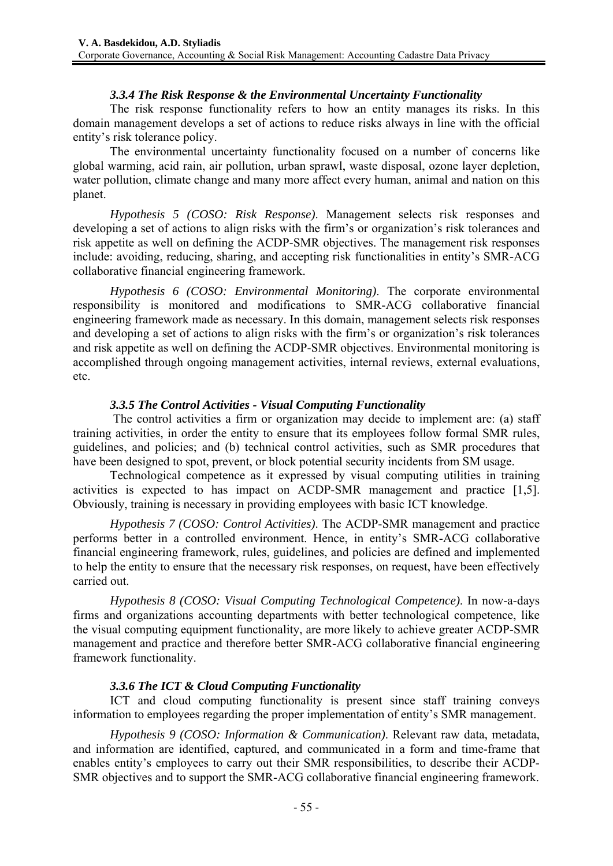### *3.3.4 The Risk Response & the Environmental Uncertainty Functionality*

The risk response functionality refers to how an entity manages its risks. In this domain management develops a set of actions to reduce risks always in line with the official entity's risk tolerance policy.

The environmental uncertainty functionality focused on a number of concerns like global warming, acid rain, air pollution, urban sprawl, waste disposal, ozone layer depletion, water pollution, climate change and many more affect every human, animal and nation on this planet.

*Hypothesis 5 (COSO: Risk Response)*. Management selects risk responses and developing a set of actions to align risks with the firm's or organization's risk tolerances and risk appetite as well on defining the ACDP-SMR objectives. The management risk responses include: avoiding, reducing, sharing, and accepting risk functionalities in entity's SMR-ACG collaborative financial engineering framework.

*Hypothesis 6 (COSO: Environmental Monitoring)*. The corporate environmental responsibility is monitored and modifications to SMR-ACG collaborative financial engineering framework made as necessary. In this domain, management selects risk responses and developing a set of actions to align risks with the firm's or organization's risk tolerances and risk appetite as well on defining the ACDP-SMR objectives. Environmental monitoring is accomplished through ongoing management activities, internal reviews, external evaluations, etc.

### *3.3.5 The Control Activities - Visual Computing Functionality*

 The control activities a firm or organization may decide to implement are: (a) staff training activities, in order the entity to ensure that its employees follow formal SMR rules, guidelines, and policies; and (b) technical control activities, such as SMR procedures that have been designed to spot, prevent, or block potential security incidents from SM usage.

Technological competence as it expressed by visual computing utilities in training activities is expected to has impact on ACDP-SMR management and practice [1,5]. Obviously, training is necessary in providing employees with basic ICT knowledge.

*Hypothesis 7 (COSO: Control Activities)*. The ACDP-SMR management and practice performs better in a controlled environment. Hence, in entity's SMR-ACG collaborative financial engineering framework, rules, guidelines, and policies are defined and implemented to help the entity to ensure that the necessary risk responses, on request, have been effectively carried out.

*Hypothesis 8 (COSO: Visual Computing Technological Competence)*. In now-a-days firms and organizations accounting departments with better technological competence, like the visual computing equipment functionality, are more likely to achieve greater ACDP-SMR management and practice and therefore better SMR-ACG collaborative financial engineering framework functionality.

# *3.3.6 The ICT & Cloud Computing Functionality*

ICT and cloud computing functionality is present since staff training conveys information to employees regarding the proper implementation of entity's SMR management.

*Hypothesis 9 (COSO: Information & Communication)*. Relevant raw data, metadata, and information are identified, captured, and communicated in a form and time-frame that enables entity's employees to carry out their SMR responsibilities, to describe their ACDP-SMR objectives and to support the SMR-ACG collaborative financial engineering framework.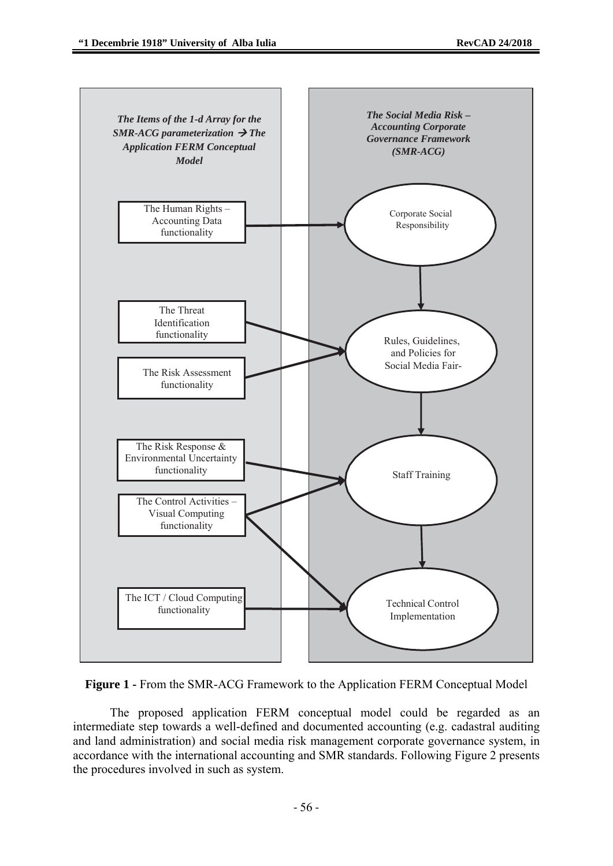



The proposed application FERM conceptual model could be regarded as an intermediate step towards a well-defined and documented accounting (e.g. cadastral auditing and land administration) and social media risk management corporate governance system, in accordance with the international accounting and SMR standards. Following Figure 2 presents the procedures involved in such as system.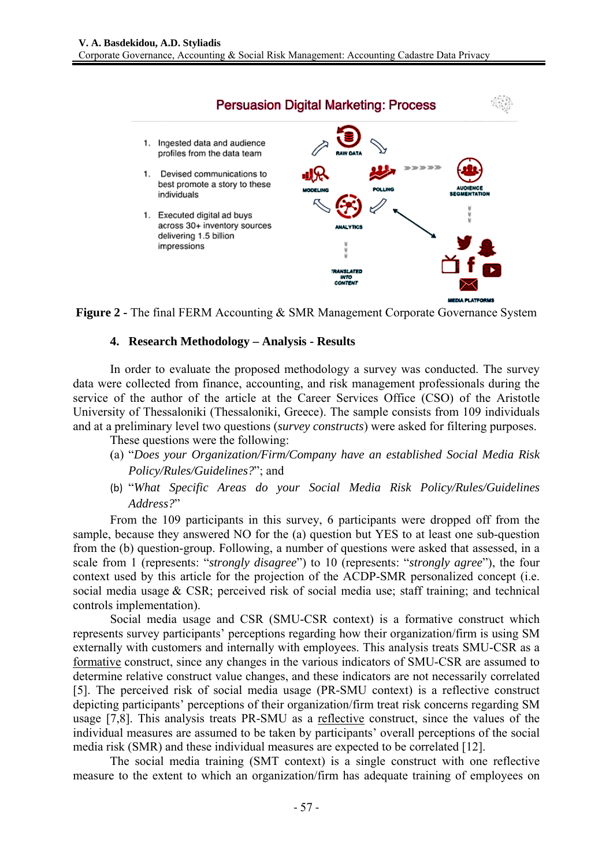

**Figure 2 -** The final FERM Accounting & SMR Management Corporate Governance System

#### 4. **Research Methodology – Analysis - Results**

In order to evaluate the proposed methodology a survey was conducted. The survey data were collected from finance, accounting, and risk management professionals during the service of the author of the article at the Career Services Office (CSO) of the Aristotle University of Thessaloniki (Thessaloniki, Greece). The sample consists from 109 individuals and at a preliminary level two questions (*survey constructs*) were asked for filtering purposes.

These questions were the following:

- (a) "Does your Organization/Firm/Company have an established Social Media Risk Policy/Rules/Guidelines?"; and
- (b) "What Specific Areas do your Social Media Risk Policy/Rules/Guidelines *Address s?*"

From the 109 participants in this survey, 6 participants were dropped off from the sample, because they answered NO for the (a) question but YES to at least one sub-question from the (b) question-group. Following, a number of questions were asked that assessed, in a scale from 1 (represents: "*strongly disagree*") to 10 (represents: "*strongly agree*"), the four context used by this article for the projection of the ACDP-SMR personalized concept (i.e. social media usage & CSR; perceived risk of social media use; staff training; and technical controls s implement tation).

represents survey participants' perceptions regarding how their organization/firm is using SM externally with customers and internally with employees. This analysis treats SMU-CSR as a formative construct, since any changes in the various indicators of SMU-CSR are assumed to determine relative construct value changes, and these indicators are not necessarily correlated [5]. The perceived risk of social media usage (PR-SMU context) is a reflective construct depicting participants' perceptions of their organization/firm treat risk concerns regarding SM usage [7,8]. This analysis treats PR-SMU as a reflective construct, since the values of the individual measures are assumed to be taken by participants' overall perceptions of the social media risk (SMR) and these individual measures are expected to be correlated [12]. Social media usage and CSR (SMU-CSR context) is a formative construct which

The social media training (SMT context) is a single construct with one reflective measure to the extent to which an organization/firm has adequate training of employees on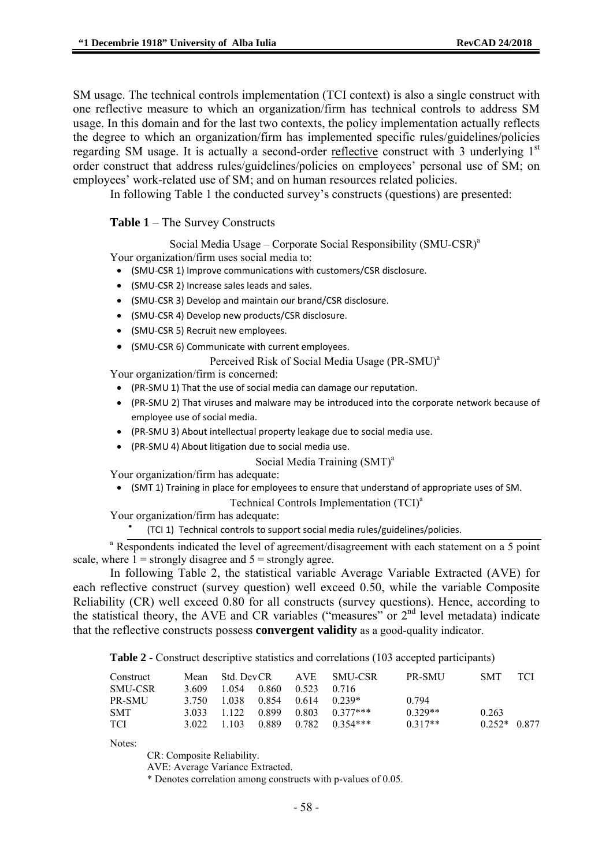SM usage. The technical controls implementation (TCI context) is also a single construct with one reflective measure to which an organization/firm has technical controls to address SM usage. In this domain and for the last two contexts, the policy implementation actually reflects the degree to which an organization/firm has implemented specific rules/guidelines/policies regarding SM usage. It is actually a second-order reflective construct with 3 underlying 1<sup>st</sup> order construct that address rules/guidelines/policies on employees' personal use of SM; on employees' work-related use of SM; and on human resources related policies.

In following Table 1 the conducted survey's constructs (questions) are presented:

#### **Table 1** – The Survey Constructs

Social Media Usage – Corporate Social Responsibility (SMU-CSR)<sup>a</sup>

Your organization/firm uses social media to:

- (SMU‐CSR 1) Improve communications with customers/CSR disclosure.
- (SMU‐CSR 2) Increase sales leads and sales.
- (SMU‐CSR 3) Develop and maintain our brand/CSR disclosure.
- (SMU‐CSR 4) Develop new products/CSR disclosure.
- (SMU‐CSR 5) Recruit new employees.
- (SMU‐CSR 6) Communicate with current employees.

Perceived Risk of Social Media Usage (PR-SMU)<sup>a</sup>

Your organization/firm is concerned:

- (PR‐SMU 1) That the use of social media can damage our reputation.
- (PR‐SMU 2) That viruses and malware may be introduced into the corporate network because of employee use of social media.
- (PR‐SMU 3) About intellectual property leakage due to social media use.
- (PR‐SMU 4) About litigation due to social media use.

#### Social Media Training (SMT)<sup>a</sup>

Your organization/firm has adequate:

- (SMT 1) Training in place for employees to ensure that understand of appropriate uses of SM.
	- Technical Controls Implementation (TCI)<sup>a</sup>

Your organization/firm has adequate:

• (TCI 1) Technical controls to support social media rules/guidelines/policies.

<sup>a</sup> Respondents indicated the level of agreement/disagreement with each statement on a 5 point scale, where  $1 =$  strongly disagree and  $5 =$  strongly agree.

In following Table 2, the statistical variable Average Variable Extracted (AVE) for each reflective construct (survey question) well exceed 0.50, while the variable Composite Reliability (CR) well exceed 0.80 for all constructs (survey questions). Hence, according to the statistical theory, the AVE and CR variables ("measures" or  $2<sup>nd</sup>$  level metadata) indicate that the reflective constructs possess **convergent validity** as a good-quality indicator.

**Table 2** - Construct descriptive statistics and correlations (103 accepted participants)

| Construct      |       |                                | Mean Std. DevCR AVE SMU-CSR        | <b>PR-SMU</b> | <b>SMT</b>    | - TCI |
|----------------|-------|--------------------------------|------------------------------------|---------------|---------------|-------|
| <b>SMU-CSR</b> | 3.609 | 1 0 54 0 860 0 523 0 716       |                                    |               |               |       |
| PR-SMU         |       | 3.750 1.038 0.854 0.614 0.239* |                                    | 0.794         |               |       |
| <b>SMT</b>     |       |                                | $3.033$ 1.122 0.899 0.803 0.377*** | $0.329**$     | 0.263         |       |
| TCI.           |       |                                | 3 022 1 103 0 889 0 782 0 354***   | $0.317**$     | $0.252*0.877$ |       |

Notes:

CR: Composite Reliability.

AVE: Average Variance Extracted.

\* Denotes correlation among constructs with p-values of 0.05.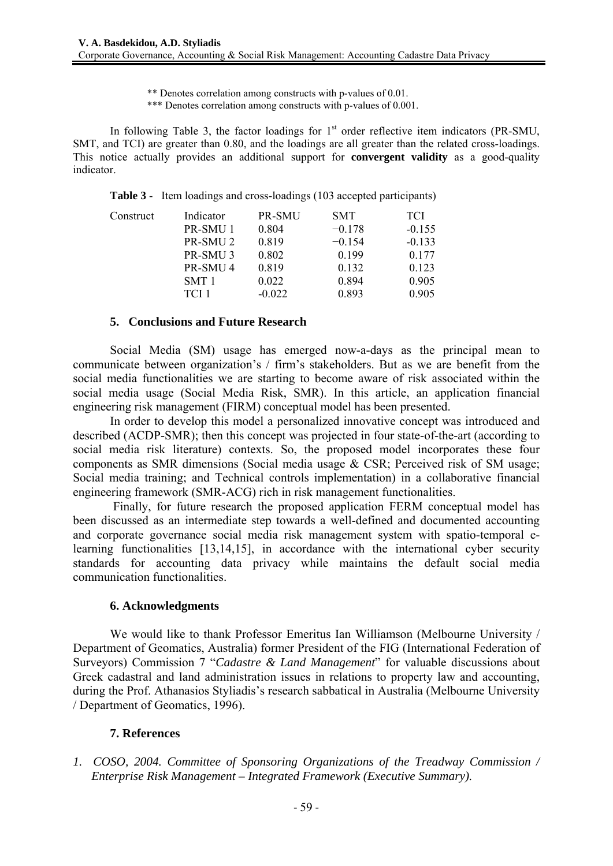\*\* Denotes correlation among constructs with p-values of 0.01.

\*\*\* Denotes correlation among constructs with p-values of 0.001.

In following Table 3, the factor loadings for  $1<sup>st</sup>$  order reflective item indicators (PR-SMU, SMT, and TCI) are greater than 0.80, and the loadings are all greater than the related cross-loadings. This notice actually provides an additional support for **convergent validity** as a good-quality indicator.

|  |  |  | <b>Table 3</b> - Item loadings and cross-loadings (103 accepted participants) |
|--|--|--|-------------------------------------------------------------------------------|
|--|--|--|-------------------------------------------------------------------------------|

| Construct | Indicator           | <b>PR-SMU</b> | <b>SMT</b> | <b>TCI</b> |
|-----------|---------------------|---------------|------------|------------|
|           | PR-SMU 1            | 0.804         | $-0.178$   | $-0.155$   |
|           | PR-SMU <sub>2</sub> | 0.819         | $-0.154$   | $-0.133$   |
|           | PR-SMU <sub>3</sub> | 0.802         | 0.199      | 0.177      |
|           | PR-SMU <sub>4</sub> | 0.819         | 0.132      | 0.123      |
|           | SMT 1               | 0.022         | 0.894      | 0.905      |
|           | TCI 1               | $-0.022$      | 0.893      | 0.905      |
|           |                     |               |            |            |

#### **5. Conclusions and Future Research**

Social Media (SM) usage has emerged now-a-days as the principal mean to communicate between organization's / firm's stakeholders. But as we are benefit from the social media functionalities we are starting to become aware of risk associated within the social media usage (Social Media Risk, SMR). In this article, an application financial engineering risk management (FIRM) conceptual model has been presented.

In order to develop this model a personalized innovative concept was introduced and described (ACDP-SMR); then this concept was projected in four state-of-the-art (according to social media risk literature) contexts. So, the proposed model incorporates these four components as SMR dimensions (Social media usage & CSR; Perceived risk of SM usage; Social media training; and Technical controls implementation) in a collaborative financial engineering framework (SMR-ACG) rich in risk management functionalities.

 Finally, for future research the proposed application FERM conceptual model has been discussed as an intermediate step towards a well-defined and documented accounting and corporate governance social media risk management system with spatio-temporal elearning functionalities [13,14,15], in accordance with the international cyber security standards for accounting data privacy while maintains the default social media communication functionalities.

#### **6. Acknowledgments**

We would like to thank Professor Emeritus Ian Williamson (Melbourne University / Department of Geomatics, Australia) former President of the FIG (International Federation of Surveyors) Commission 7 "*Cadastre & Land Management*" for valuable discussions about Greek cadastral and land administration issues in relations to property law and accounting, during the Prof. Athanasios Styliadis's research sabbatical in Australia (Melbourne University / Department of Geomatics, 1996).

#### **7. References**

*1. COSO, 2004. Committee of Sponsoring Organizations of the Treadway Commission / Enterprise Risk Management – Integrated Framework (Executive Summary).*